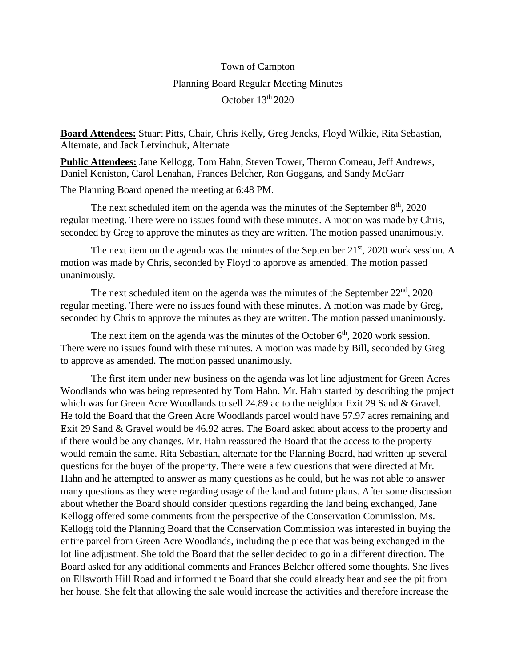## Town of Campton Planning Board Regular Meeting Minutes October 13<sup>th</sup> 2020

**Board Attendees:** Stuart Pitts, Chair, Chris Kelly, Greg Jencks, Floyd Wilkie, Rita Sebastian, Alternate, and Jack Letvinchuk, Alternate

**Public Attendees:** Jane Kellogg, Tom Hahn, Steven Tower, Theron Comeau, Jeff Andrews, Daniel Keniston, Carol Lenahan, Frances Belcher, Ron Goggans, and Sandy McGarr

The Planning Board opened the meeting at 6:48 PM.

The next scheduled item on the agenda was the minutes of the September  $8<sup>th</sup>$ , 2020 regular meeting. There were no issues found with these minutes. A motion was made by Chris, seconded by Greg to approve the minutes as they are written. The motion passed unanimously.

The next item on the agenda was the minutes of the September  $21<sup>st</sup>$ , 2020 work session. A motion was made by Chris, seconded by Floyd to approve as amended. The motion passed unanimously.

The next scheduled item on the agenda was the minutes of the September  $22<sup>nd</sup>$ ,  $2020$ regular meeting. There were no issues found with these minutes. A motion was made by Greg, seconded by Chris to approve the minutes as they are written. The motion passed unanimously.

The next item on the agenda was the minutes of the October  $6<sup>th</sup>$ , 2020 work session. There were no issues found with these minutes. A motion was made by Bill, seconded by Greg to approve as amended. The motion passed unanimously.

The first item under new business on the agenda was lot line adjustment for Green Acres Woodlands who was being represented by Tom Hahn. Mr. Hahn started by describing the project which was for Green Acre Woodlands to sell 24.89 ac to the neighbor Exit 29 Sand & Gravel. He told the Board that the Green Acre Woodlands parcel would have 57.97 acres remaining and Exit 29 Sand & Gravel would be 46.92 acres. The Board asked about access to the property and if there would be any changes. Mr. Hahn reassured the Board that the access to the property would remain the same. Rita Sebastian, alternate for the Planning Board, had written up several questions for the buyer of the property. There were a few questions that were directed at Mr. Hahn and he attempted to answer as many questions as he could, but he was not able to answer many questions as they were regarding usage of the land and future plans. After some discussion about whether the Board should consider questions regarding the land being exchanged, Jane Kellogg offered some comments from the perspective of the Conservation Commission. Ms. Kellogg told the Planning Board that the Conservation Commission was interested in buying the entire parcel from Green Acre Woodlands, including the piece that was being exchanged in the lot line adjustment. She told the Board that the seller decided to go in a different direction. The Board asked for any additional comments and Frances Belcher offered some thoughts. She lives on Ellsworth Hill Road and informed the Board that she could already hear and see the pit from her house. She felt that allowing the sale would increase the activities and therefore increase the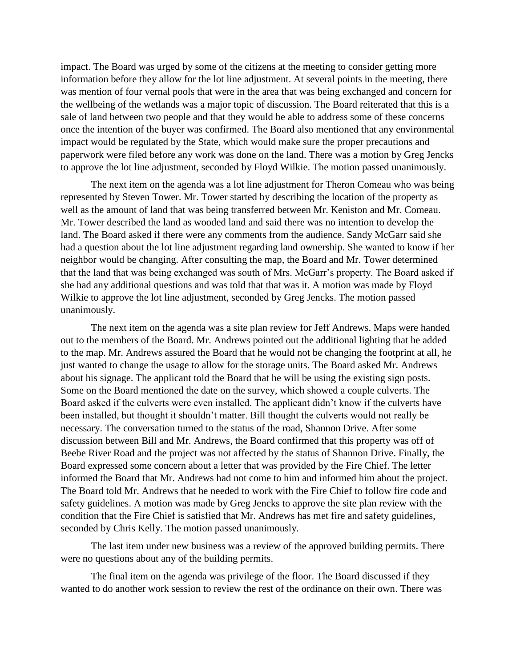impact. The Board was urged by some of the citizens at the meeting to consider getting more information before they allow for the lot line adjustment. At several points in the meeting, there was mention of four vernal pools that were in the area that was being exchanged and concern for the wellbeing of the wetlands was a major topic of discussion. The Board reiterated that this is a sale of land between two people and that they would be able to address some of these concerns once the intention of the buyer was confirmed. The Board also mentioned that any environmental impact would be regulated by the State, which would make sure the proper precautions and paperwork were filed before any work was done on the land. There was a motion by Greg Jencks to approve the lot line adjustment, seconded by Floyd Wilkie. The motion passed unanimously.

The next item on the agenda was a lot line adjustment for Theron Comeau who was being represented by Steven Tower. Mr. Tower started by describing the location of the property as well as the amount of land that was being transferred between Mr. Keniston and Mr. Comeau. Mr. Tower described the land as wooded land and said there was no intention to develop the land. The Board asked if there were any comments from the audience. Sandy McGarr said she had a question about the lot line adjustment regarding land ownership. She wanted to know if her neighbor would be changing. After consulting the map, the Board and Mr. Tower determined that the land that was being exchanged was south of Mrs. McGarr's property. The Board asked if she had any additional questions and was told that that was it. A motion was made by Floyd Wilkie to approve the lot line adjustment, seconded by Greg Jencks. The motion passed unanimously.

The next item on the agenda was a site plan review for Jeff Andrews. Maps were handed out to the members of the Board. Mr. Andrews pointed out the additional lighting that he added to the map. Mr. Andrews assured the Board that he would not be changing the footprint at all, he just wanted to change the usage to allow for the storage units. The Board asked Mr. Andrews about his signage. The applicant told the Board that he will be using the existing sign posts. Some on the Board mentioned the date on the survey, which showed a couple culverts. The Board asked if the culverts were even installed. The applicant didn't know if the culverts have been installed, but thought it shouldn't matter. Bill thought the culverts would not really be necessary. The conversation turned to the status of the road, Shannon Drive. After some discussion between Bill and Mr. Andrews, the Board confirmed that this property was off of Beebe River Road and the project was not affected by the status of Shannon Drive. Finally, the Board expressed some concern about a letter that was provided by the Fire Chief. The letter informed the Board that Mr. Andrews had not come to him and informed him about the project. The Board told Mr. Andrews that he needed to work with the Fire Chief to follow fire code and safety guidelines. A motion was made by Greg Jencks to approve the site plan review with the condition that the Fire Chief is satisfied that Mr. Andrews has met fire and safety guidelines, seconded by Chris Kelly. The motion passed unanimously.

The last item under new business was a review of the approved building permits. There were no questions about any of the building permits.

The final item on the agenda was privilege of the floor. The Board discussed if they wanted to do another work session to review the rest of the ordinance on their own. There was